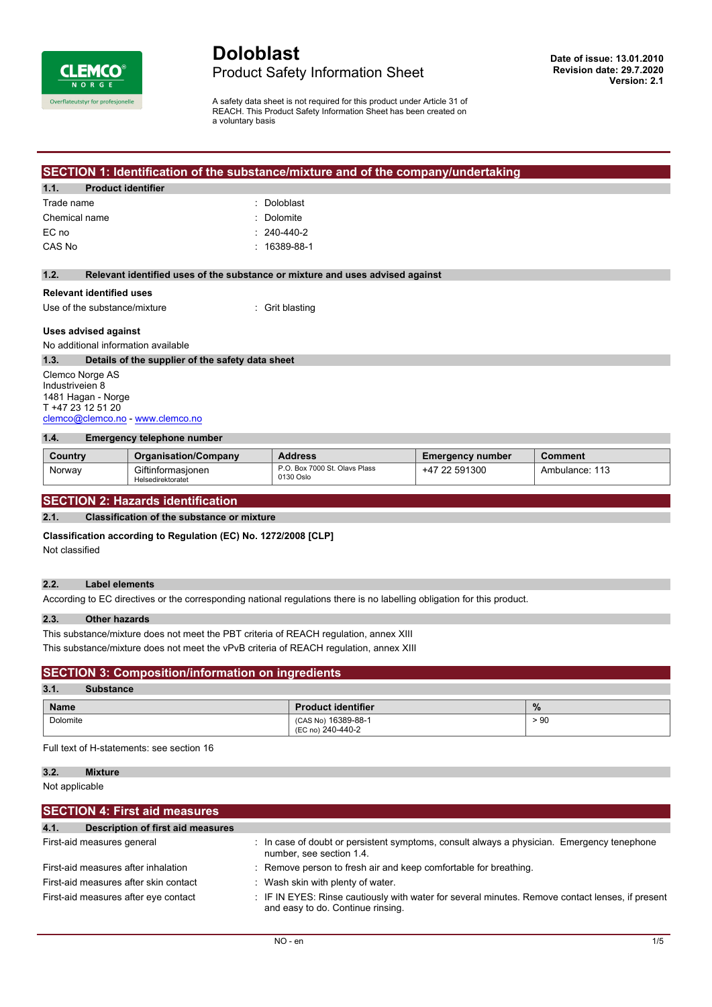

# **Doloblast** Product Safety Information Sheet

A safety data sheet is not required for this product under Article 31 of REACH. This Product Safety Information Sheet has been created on a voluntary basis

## **SECTION 1: Identification of the substance/mixture and of the company/undertaking**

#### **1.1. Product identifier**

| Trade name    | : Doloblast        |
|---------------|--------------------|
| Chemical name | : Dolomite         |
| EC no         | $: 240 - 440 - 2$  |
| CAS No        | $: 16389 - 88 - 1$ |
|               |                    |

#### **1.2. Relevant identified uses of the substance or mixture and uses advised against**

# **Relevant identified uses**

Use of the substance/mixture : Grit blasting

#### **Uses advised against**

No additional information available

#### **1.3. Details of the supplier of the safety data sheet**

Clemco Norge AS Industriveien 8 1481 Hagan - Norge T +47 23 12 51 20 [clemco@clemco.no](mailto:clemco@clemco.no) -<www.clemco.no>

#### **1.4. Emergency telephone number**

| Country | <b>Organisation/Company</b>            | <b>Address</b>                             | <b>Emergency number</b> | Comment        |
|---------|----------------------------------------|--------------------------------------------|-------------------------|----------------|
| Norway  | Giftinformasionen<br>Helsedirektoratet | P.O. Box 7000 St. Olavs Plass<br>0130 Oslo | 591300<br>-47           | Ambulance: 113 |

# **SECTION 2: Hazards identification**

# **2.1. Classification of the substance or mixture**

**Classification according to Regulation (EC) No. 1272/2008 [CLP]**

Not classified

#### **2.2. Label elements**

According to EC directives or the corresponding national regulations there is no labelling obligation for this product.

#### **2.3. Other hazards**

This substance/mixture does not meet the PBT criteria of REACH regulation, annex XIII This substance/mixture does not meet the vPvB criteria of REACH regulation, annex XIII

# **SECTION 3: Composition/information on ingredients**

| 3.1.<br><b>Substance</b> |                                          |      |
|--------------------------|------------------------------------------|------|
| <b>Name</b>              | <b>Product identifier</b>                | %    |
| Dolomite                 | (CAS No) 16389-88-1<br>(EC no) 240-440-2 | > 90 |

Full text of H-statements: see section 16

#### **3.2. Mixture**

Not applicable

| <b>SECTION 4: First aid measures</b>             |                                                                                                                                       |
|--------------------------------------------------|---------------------------------------------------------------------------------------------------------------------------------------|
| <b>Description of first aid measures</b><br>4.1. |                                                                                                                                       |
| First-aid measures general                       | : In case of doubt or persistent symptoms, consult always a physician. Emergency tenephone<br>number, see section 1.4.                |
| First-aid measures after inhalation              | : Remove person to fresh air and keep comfortable for breathing.                                                                      |
| First-aid measures after skin contact            | : Wash skin with plenty of water.                                                                                                     |
| First-aid measures after eye contact             | : IF IN EYES: Rinse cautiously with water for several minutes. Remove contact lenses, if present<br>and easy to do. Continue rinsing. |
|                                                  |                                                                                                                                       |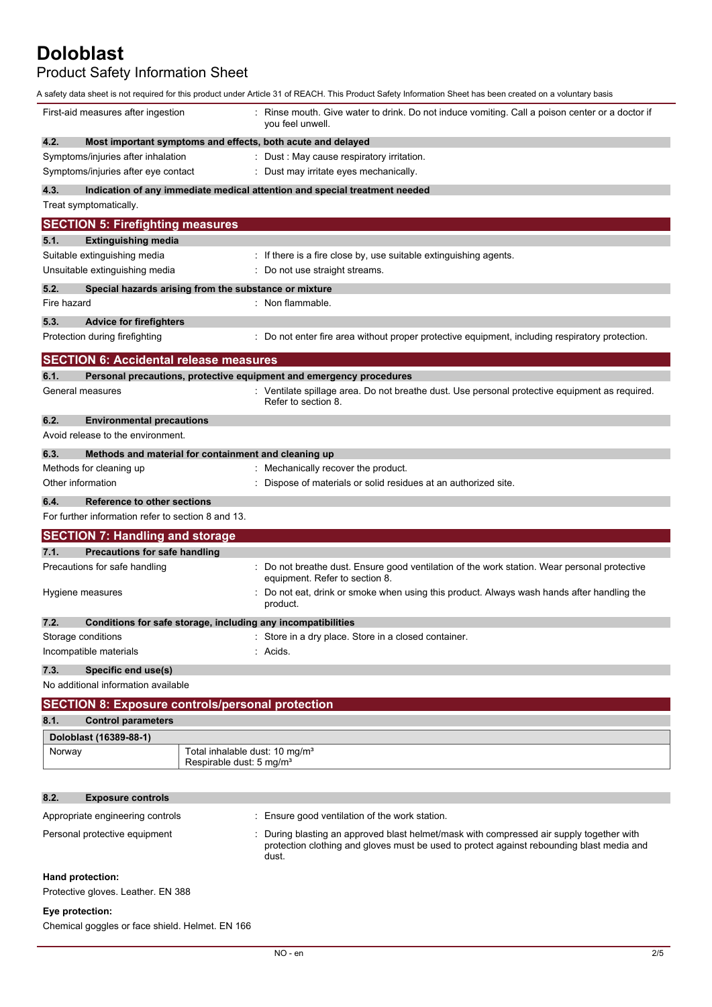Product Safety Information Sheet

|                                                                      | A safety data sheet is not required for this product under Article 31 of REACH. This Product Safety Information Sheet has been created on a voluntary basis |
|----------------------------------------------------------------------|-------------------------------------------------------------------------------------------------------------------------------------------------------------|
| First-aid measures after ingestion                                   | Rinse mouth. Give water to drink. Do not induce vomiting. Call a poison center or a doctor if<br>you feel unwell.                                           |
| 4.2.                                                                 | Most important symptoms and effects, both acute and delayed                                                                                                 |
| Symptoms/injuries after inhalation                                   | : Dust : May cause respiratory irritation.                                                                                                                  |
| Symptoms/injuries after eye contact                                  | : Dust may irritate eyes mechanically.                                                                                                                      |
| 4.3.                                                                 | Indication of any immediate medical attention and special treatment needed                                                                                  |
| Treat symptomatically.                                               |                                                                                                                                                             |
| <b>SECTION 5: Firefighting measures</b>                              |                                                                                                                                                             |
| 5.1.<br><b>Extinguishing media</b>                                   |                                                                                                                                                             |
| Suitable extinguishing media                                         | : If there is a fire close by, use suitable extinguishing agents.                                                                                           |
| Unsuitable extinguishing media                                       | Do not use straight streams.                                                                                                                                |
| 5.2.<br>Special hazards arising from the substance or mixture        |                                                                                                                                                             |
| Fire hazard                                                          | : Non flammable.                                                                                                                                            |
| 5.3.<br><b>Advice for firefighters</b>                               |                                                                                                                                                             |
| Protection during firefighting                                       | : Do not enter fire area without proper protective equipment, including respiratory protection.                                                             |
|                                                                      |                                                                                                                                                             |
| <b>SECTION 6: Accidental release measures</b>                        |                                                                                                                                                             |
| 6.1.<br>General measures                                             | Personal precautions, protective equipment and emergency procedures                                                                                         |
|                                                                      | : Ventilate spillage area. Do not breathe dust. Use personal protective equipment as required.<br>Refer to section 8.                                       |
| 6.2.<br><b>Environmental precautions</b>                             |                                                                                                                                                             |
| Avoid release to the environment.                                    |                                                                                                                                                             |
| 6.3.<br>Methods and material for containment and cleaning up         |                                                                                                                                                             |
| Methods for cleaning up                                              | : Mechanically recover the product.                                                                                                                         |
| Other information                                                    | : Dispose of materials or solid residues at an authorized site.                                                                                             |
|                                                                      |                                                                                                                                                             |
|                                                                      |                                                                                                                                                             |
| 6.4.<br><b>Reference to other sections</b>                           |                                                                                                                                                             |
| For further information refer to section 8 and 13.                   |                                                                                                                                                             |
| <b>SECTION 7: Handling and storage</b>                               |                                                                                                                                                             |
| 7.1.<br><b>Precautions for safe handling</b>                         |                                                                                                                                                             |
| Precautions for safe handling                                        | : Do not breathe dust. Ensure good ventilation of the work station. Wear personal protective<br>equipment. Refer to section 8.                              |
| Hygiene measures                                                     | Do not eat, drink or smoke when using this product. Always wash hands after handling the                                                                    |
|                                                                      | product.                                                                                                                                                    |
| 7.2.<br>Conditions for safe storage, including any incompatibilities |                                                                                                                                                             |
| Storage conditions                                                   | Store in a dry place. Store in a closed container.                                                                                                          |
| Incompatible materials                                               | Acids.                                                                                                                                                      |
| Specific end use(s)<br>7.3.                                          |                                                                                                                                                             |
| No additional information available                                  |                                                                                                                                                             |
| <b>SECTION 8: Exposure controls/personal protection</b>              |                                                                                                                                                             |
| 8.1.<br><b>Control parameters</b>                                    |                                                                                                                                                             |
| Doloblast (16389-88-1)                                               |                                                                                                                                                             |
| Norway                                                               | Total inhalable dust: 10 mg/m <sup>3</sup>                                                                                                                  |
|                                                                      | Respirable dust: 5 mg/m <sup>3</sup>                                                                                                                        |
|                                                                      |                                                                                                                                                             |
| 8.2.<br><b>Exposure controls</b>                                     |                                                                                                                                                             |
| Appropriate engineering controls                                     | : Ensure good ventilation of the work station.                                                                                                              |
| Personal protective equipment                                        | During blasting an approved blast helmet/mask with compressed air supply together with                                                                      |
|                                                                      | protection clothing and gloves must be used to protect against rebounding blast media and                                                                   |
|                                                                      | dust.                                                                                                                                                       |
| Hand protection:<br>Protective gloves. Leather. EN 388               |                                                                                                                                                             |

# **Eye protection:**

Chemical goggles or face shield. Helmet. EN 166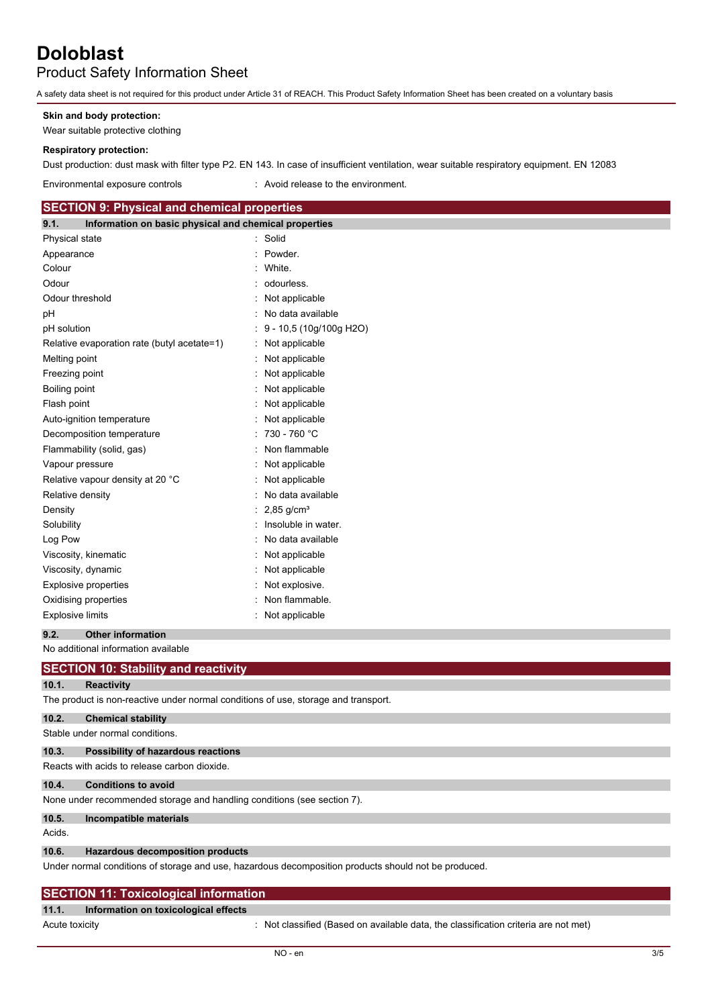Product Safety Information Sheet

A safety data sheet is not required for this product under Article 31 of REACH. This Product Safety Information Sheet has been created on a voluntary basis

#### **Skin and body protection:**

Wear suitable protective clothing

#### **Respiratory protection:**

Dust production: dust mask with filter type P2. EN 143. In case of insufficient ventilation, wear suitable respiratory equipment. EN 12083

Environmental exposure controls : Avoid release to the environment.

#### **SECTION 9: Physical and chemical properties**

| 9.1.                    | Information on basic physical and chemical properties |                          |
|-------------------------|-------------------------------------------------------|--------------------------|
| Physical state          |                                                       | Solid                    |
| Appearance              |                                                       | Powder.                  |
| Colour                  |                                                       | White.                   |
| Odour                   |                                                       | odourless.               |
| Odour threshold         |                                                       | Not applicable           |
| рH                      |                                                       | No data available        |
| pH solution             |                                                       | 9 - 10,5 (10g/100g H2O)  |
|                         | Relative evaporation rate (butyl acetate=1)           | Not applicable           |
| Melting point           |                                                       | Not applicable           |
| Freezing point          |                                                       | Not applicable           |
| Boiling point           |                                                       | Not applicable           |
| Flash point             |                                                       | Not applicable           |
|                         | Auto-ignition temperature                             | Not applicable           |
|                         | Decomposition temperature                             | 730 - 760 °C             |
|                         | Flammability (solid, gas)                             | Non flammable            |
| Vapour pressure         |                                                       | Not applicable           |
|                         | Relative vapour density at 20 °C                      | Not applicable           |
| Relative density        |                                                       | No data available        |
| Density                 |                                                       | $2,85$ g/cm <sup>3</sup> |
| Solubility              |                                                       | Insoluble in water.      |
| Log Pow                 |                                                       | No data available        |
|                         | Viscosity, kinematic                                  | : Not applicable         |
|                         | Viscosity, dynamic                                    | Not applicable           |
|                         | <b>Explosive properties</b>                           | : Not explosive.         |
|                         | Oxidising properties                                  | Non flammable.           |
| <b>Explosive limits</b> |                                                       | Not applicable           |
|                         |                                                       |                          |

#### **9.2. Other information**

No additional information available

## **SECTION 10: Stability and reactivity**

# **10.1. Reactivity**

The product is non-reactive under normal conditions of use, storage and transport.

# **10.2. Chemical stability**

Stable under normal conditions.

# **10.3. Possibility of hazardous reactions**

Reacts with acids to release carbon dioxide.

#### **10.4. Conditions to avoid**

None under recommended storage and handling conditions (see section 7).

## **10.5. Incompatible materials**

Acids.

#### **10.6. Hazardous decomposition products**

Under normal conditions of storage and use, hazardous decomposition products should not be produced.

# **SECTION 11: Toxicological information**

#### **11.1. Information on toxicological effects**

Acute toxicity **interest in the classified (Based on available data, the classification criteria are not met)**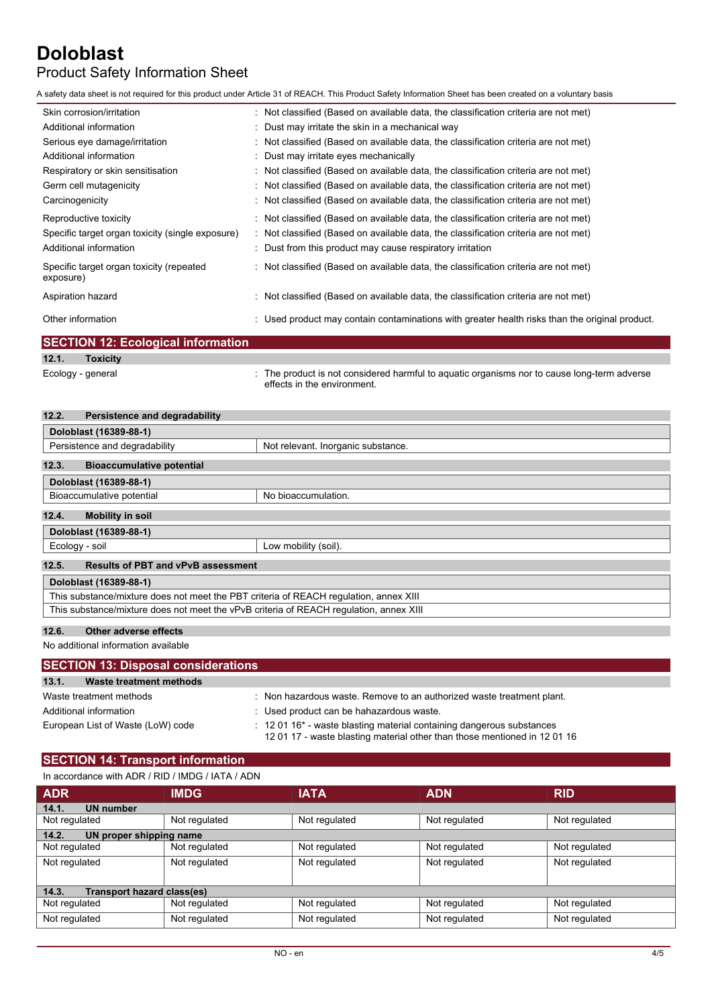# Product Safety Information Sheet

A safety data sheet is not required for this product under Article 31 of REACH. This Product Safety Information Sheet has been created on a voluntary basis

| Skin corrosion/irritation                             | : Not classified (Based on available data, the classification criteria are not met)            |
|-------------------------------------------------------|------------------------------------------------------------------------------------------------|
| Additional information                                | : Dust may irritate the skin in a mechanical way                                               |
| Serious eye damage/irritation                         | $\therefore$ Not classified (Based on available data, the classification criteria are not met) |
| Additional information                                | : Dust may irritate eyes mechanically                                                          |
| Respiratory or skin sensitisation                     | : Not classified (Based on available data, the classification criteria are not met)            |
| Germ cell mutagenicity                                | : Not classified (Based on available data, the classification criteria are not met)            |
| Carcinogenicity                                       | : Not classified (Based on available data, the classification criteria are not met)            |
| Reproductive toxicity                                 | $\therefore$ Not classified (Based on available data, the classification criteria are not met) |
| Specific target organ toxicity (single exposure)      | : Not classified (Based on available data, the classification criteria are not met)            |
| Additional information                                | : Dust from this product may cause respiratory irritation                                      |
| Specific target organ toxicity (repeated<br>exposure) | $\therefore$ Not classified (Based on available data, the classification criteria are not met) |
| Aspiration hazard                                     | $\therefore$ Not classified (Based on available data, the classification criteria are not met) |
| Other information                                     | Used product may contain contaminations with greater health risks than the original product.   |
| _________                                             |                                                                                                |

|                   | <b>SECTION 12: Ecological information</b> |                                                                                                                            |
|-------------------|-------------------------------------------|----------------------------------------------------------------------------------------------------------------------------|
| 12.1.             | <b>Toxicity</b>                           |                                                                                                                            |
| Ecology - general |                                           | : The product is not considered harmful to aquatic organisms nor to cause long-term adverse<br>effects in the environment. |

| 12.2.<br>Persistence and degradability                                                 |                                    |  |
|----------------------------------------------------------------------------------------|------------------------------------|--|
| Doloblast (16389-88-1)                                                                 |                                    |  |
| Persistence and degradability                                                          | Not relevant. Inorganic substance. |  |
| 12.3.<br><b>Bioaccumulative potential</b>                                              |                                    |  |
| Doloblast (16389-88-1)                                                                 |                                    |  |
| Bioaccumulative potential                                                              | No bioaccumulation.                |  |
| 12.4.<br><b>Mobility in soil</b>                                                       |                                    |  |
| Doloblast (16389-88-1)                                                                 |                                    |  |
| Ecology - soil                                                                         | Low mobility (soil).               |  |
| 12.5.<br><b>Results of PBT and vPvB assessment</b>                                     |                                    |  |
| Doloblast (16389-88-1)                                                                 |                                    |  |
| This substance/mixture does not meet the PBT criteria of REACH regulation, annex XIII  |                                    |  |
| This substance/mixture does not meet the vPvB criteria of REACH requiation, annex XIII |                                    |  |

### **12.6. Other adverse effects**

No additional information available

| <b>SECTION 13: Disposal considerations</b> |                                                                                                                                                                           |
|--------------------------------------------|---------------------------------------------------------------------------------------------------------------------------------------------------------------------------|
| 13.1.<br>Waste treatment methods           |                                                                                                                                                                           |
| Waste treatment methods                    | Non hazardous waste. Remove to an authorized waste treatment plant.                                                                                                       |
| Additional information                     | : Used product can be hahazardous waste.                                                                                                                                  |
| European List of Waste (LoW) code          | $\therefore$ 12 01 16 <sup>*</sup> - waste blasting material containing dangerous substances<br>12 01 17 - waste blasting material other than those mentioned in 12 01 16 |

# **SECTION 14: Transport information**

| In accordance with ADR / RID / IMDG / IATA / ADN |  |
|--------------------------------------------------|--|
|--------------------------------------------------|--|

| <b>ADR</b>                          | <b>IMDG</b>   | <b>IATA</b>   | <b>ADN</b>    | <b>RID</b>    |
|-------------------------------------|---------------|---------------|---------------|---------------|
| 14.1.<br><b>UN number</b>           |               |               |               |               |
| Not regulated                       | Not regulated | Not regulated | Not regulated | Not regulated |
| UN proper shipping name<br>14.2.    |               |               |               |               |
| Not regulated                       | Not regulated | Not regulated | Not regulated | Not regulated |
| Not regulated                       | Not regulated | Not regulated | Not regulated | Not regulated |
|                                     |               |               |               |               |
| Transport hazard class(es)<br>14.3. |               |               |               |               |
| Not regulated                       | Not regulated | Not regulated | Not regulated | Not regulated |
| Not regulated                       | Not regulated | Not regulated | Not regulated | Not regulated |